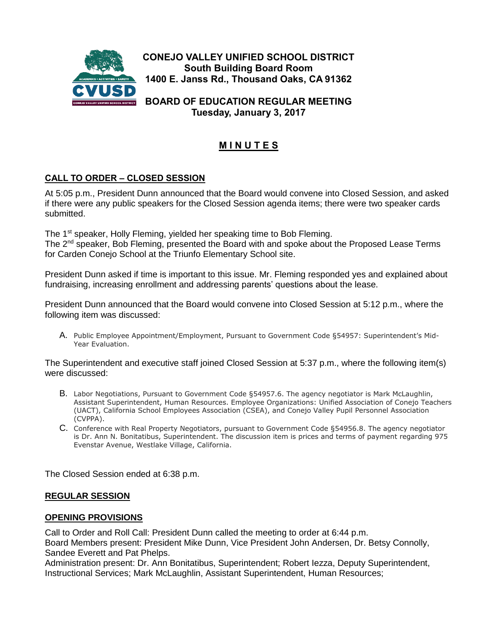

**CONEJO VALLEY UNIFIED SCHOOL DISTRICT South Building Board Room 1400 E. Janss Rd., Thousand Oaks, CA 91362**

**BOARD OF EDUCATION REGULAR MEETING Tuesday, January 3, 2017**

# **M I N U T E S**

# **CALL TO ORDER – CLOSED SESSION**

At 5:05 p.m., President Dunn announced that the Board would convene into Closed Session, and asked if there were any public speakers for the Closed Session agenda items; there were two speaker cards submitted.

The 1<sup>st</sup> speaker, Holly Fleming, yielded her speaking time to Bob Fleming.

The 2nd speaker, Bob Fleming, presented the Board with and spoke about the Proposed Lease Terms for Carden Conejo School at the Triunfo Elementary School site.

President Dunn asked if time is important to this issue. Mr. Fleming responded yes and explained about fundraising, increasing enrollment and addressing parents' questions about the lease.

President Dunn announced that the Board would convene into Closed Session at 5:12 p.m., where the following item was discussed:

A. Public Employee Appointment/Employment, Pursuant to Government Code §54957: Superintendent's Mid-Year Evaluation.

The Superintendent and executive staff joined Closed Session at 5:37 p.m., where the following item(s) were discussed:

- B. Labor Negotiations, Pursuant to Government Code §54957.6. The agency negotiator is Mark McLaughlin, Assistant Superintendent, Human Resources. Employee Organizations: Unified Association of Conejo Teachers (UACT), California School Employees Association (CSEA), and Conejo Valley Pupil Personnel Association (CVPPA).
- C. Conference with Real Property Negotiators, pursuant to Government Code §54956.8. The agency negotiator is Dr. Ann N. Bonitatibus, Superintendent. The discussion item is prices and terms of payment regarding 975 Evenstar Avenue, Westlake Village, California.

The Closed Session ended at 6:38 p.m.

#### **REGULAR SESSION**

#### **OPENING PROVISIONS**

Call to Order and Roll Call: President Dunn called the meeting to order at 6:44 p.m. Board Members present: President Mike Dunn, Vice President John Andersen, Dr. Betsy Connolly, Sandee Everett and Pat Phelps.

Administration present: Dr. Ann Bonitatibus, Superintendent; Robert Iezza, Deputy Superintendent, Instructional Services; Mark McLaughlin, Assistant Superintendent, Human Resources;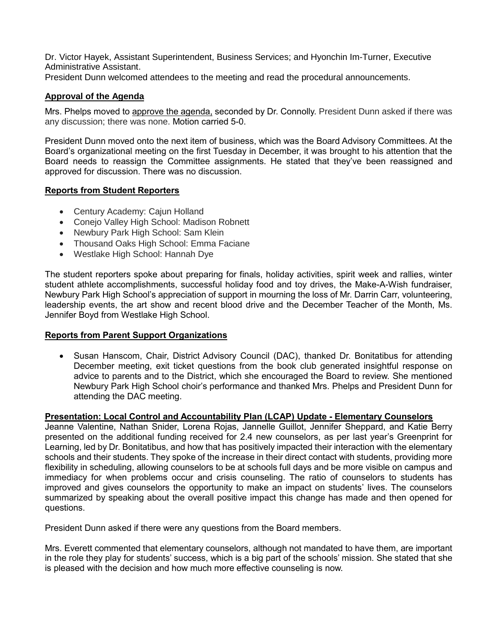Dr. Victor Hayek, Assistant Superintendent, Business Services; and Hyonchin Im-Turner, Executive Administrative Assistant.

President Dunn welcomed attendees to the meeting and read the procedural announcements.

#### **Approval of the Agenda**

Mrs. Phelps moved to approve the agenda, seconded by Dr. Connolly. President Dunn asked if there was any discussion; there was none. Motion carried 5-0.

President Dunn moved onto the next item of business, which was the Board Advisory Committees. At the Board's organizational meeting on the first Tuesday in December, it was brought to his attention that the Board needs to reassign the Committee assignments. He stated that they've been reassigned and approved for discussion. There was no discussion.

#### **Reports from Student Reporters**

- Century Academy: Cajun Holland
- Conejo Valley High School: Madison Robnett
- Newbury Park High School: Sam Klein
- Thousand Oaks High School: Emma Faciane
- Westlake High School: Hannah Dye

The student reporters spoke about preparing for finals, holiday activities, spirit week and rallies, winter student athlete accomplishments, successful holiday food and toy drives, the Make-A-Wish fundraiser, Newbury Park High School's appreciation of support in mourning the loss of Mr. Darrin Carr, volunteering, leadership events, the art show and recent blood drive and the December Teacher of the Month, Ms. Jennifer Boyd from Westlake High School.

#### **Reports from Parent Support Organizations**

 Susan Hanscom, Chair, District Advisory Council (DAC), thanked Dr. Bonitatibus for attending December meeting, exit ticket questions from the book club generated insightful response on advice to parents and to the District, which she encouraged the Board to review. She mentioned Newbury Park High School choir's performance and thanked Mrs. Phelps and President Dunn for attending the DAC meeting.

#### **Presentation: Local Control and Accountability Plan (LCAP) Update - Elementary Counselors**

Jeanne Valentine, Nathan Snider, Lorena Rojas, Jannelle Guillot, Jennifer Sheppard, and Katie Berry presented on the additional funding received for 2.4 new counselors, as per last year's Greenprint for Learning, led by Dr. Bonitatibus, and how that has positively impacted their interaction with the elementary schools and their students. They spoke of the increase in their direct contact with students, providing more flexibility in scheduling, allowing counselors to be at schools full days and be more visible on campus and immediacy for when problems occur and crisis counseling. The ratio of counselors to students has improved and gives counselors the opportunity to make an impact on students' lives. The counselors summarized by speaking about the overall positive impact this change has made and then opened for questions.

President Dunn asked if there were any questions from the Board members.

Mrs. Everett commented that elementary counselors, although not mandated to have them, are important in the role they play for students' success, which is a big part of the schools' mission. She stated that she is pleased with the decision and how much more effective counseling is now.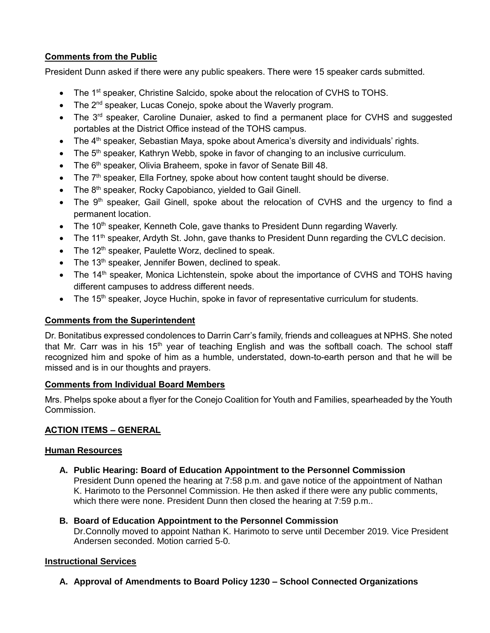# **Comments from the Public**

President Dunn asked if there were any public speakers. There were 15 speaker cards submitted.

- The 1<sup>st</sup> speaker, Christine Salcido, spoke about the relocation of CVHS to TOHS.
- $\bullet$  The 2<sup>nd</sup> speaker, Lucas Conejo, spoke about the Waverly program.
- The 3<sup>rd</sup> speaker, Caroline Dunaier, asked to find a permanent place for CVHS and suggested portables at the District Office instead of the TOHS campus.
- The  $4<sup>th</sup>$  speaker, Sebastian Maya, spoke about America's diversity and individuals' rights.
- $\bullet$  The 5<sup>th</sup> speaker, Kathryn Webb, spoke in favor of changing to an inclusive curriculum.
- $\bullet$  The 6<sup>th</sup> speaker, Olivia Braheem, spoke in favor of Senate Bill 48.
- The  $7<sup>th</sup>$  speaker, Ella Fortney, spoke about how content taught should be diverse.
- The 8<sup>th</sup> speaker, Rocky Capobianco, yielded to Gail Ginell.
- $\bullet$  The 9<sup>th</sup> speaker, Gail Ginell, spoke about the relocation of CVHS and the urgency to find a permanent location.
- $\bullet$  The 10<sup>th</sup> speaker, Kenneth Cole, gave thanks to President Dunn regarding Waverly.
- The 11<sup>th</sup> speaker, Ardyth St. John, gave thanks to President Dunn regarding the CVLC decision.
- $\bullet$  The 12<sup>th</sup> speaker, Paulette Worz, declined to speak.
- $\bullet$  The 13<sup>th</sup> speaker, Jennifer Bowen, declined to speak.
- The 14<sup>th</sup> speaker, Monica Lichtenstein, spoke about the importance of CVHS and TOHS having different campuses to address different needs.
- The 15<sup>th</sup> speaker, Joyce Huchin, spoke in favor of representative curriculum for students.

# **Comments from the Superintendent**

Dr. Bonitatibus expressed condolences to Darrin Carr's family, friends and colleagues at NPHS. She noted that Mr. Carr was in his 15<sup>th</sup> year of teaching English and was the softball coach. The school staff recognized him and spoke of him as a humble, understated, down-to-earth person and that he will be missed and is in our thoughts and prayers.

# **Comments from Individual Board Members**

Mrs. Phelps spoke about a flyer for the Conejo Coalition for Youth and Families, spearheaded by the Youth Commission.

# **ACTION ITEMS – GENERAL**

# **Human Resources**

**A. Public Hearing: Board of Education Appointment to the Personnel Commission** President Dunn opened the hearing at 7:58 p.m. and gave notice of the appointment of Nathan K. Harimoto to the Personnel Commission. He then asked if there were any public comments, which there were none. President Dunn then closed the hearing at 7:59 p.m..

# **B. Board of Education Appointment to the Personnel Commission**

Dr.Connolly moved to appoint Nathan K. Harimoto to serve until December 2019. Vice President Andersen seconded. Motion carried 5-0.

# **Instructional Services**

**A. Approval of Amendments to Board Policy 1230 – School Connected Organizations**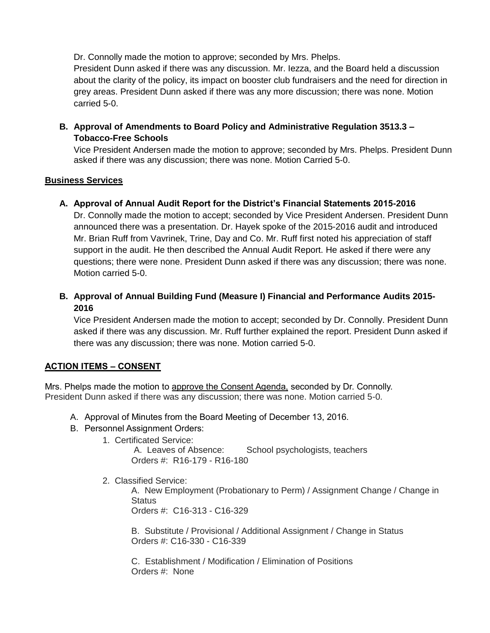Dr. Connolly made the motion to approve; seconded by Mrs. Phelps. President Dunn asked if there was any discussion. Mr. Iezza, and the Board held a discussion about the clarity of the policy, its impact on booster club fundraisers and the need for direction in grey areas. President Dunn asked if there was any more discussion; there was none. Motion carried 5-0.

**B. Approval of Amendments to Board Policy and Administrative Regulation 3513.3 – Tobacco-Free Schools**

Vice President Andersen made the motion to approve; seconded by Mrs. Phelps. President Dunn asked if there was any discussion; there was none. Motion Carried 5-0.

#### **Business Services**

**A. Approval of Annual Audit Report for the District's Financial Statements 2015-2016**

Dr. Connolly made the motion to accept; seconded by Vice President Andersen. President Dunn announced there was a presentation. Dr. Hayek spoke of the 2015-2016 audit and introduced Mr. Brian Ruff from Vavrinek, Trine, Day and Co. Mr. Ruff first noted his appreciation of staff support in the audit. He then described the Annual Audit Report. He asked if there were any questions; there were none. President Dunn asked if there was any discussion; there was none. Motion carried 5-0.

**B. Approval of Annual Building Fund (Measure I) Financial and Performance Audits 2015- 2016**

Vice President Andersen made the motion to accept; seconded by Dr. Connolly. President Dunn asked if there was any discussion. Mr. Ruff further explained the report. President Dunn asked if there was any discussion; there was none. Motion carried 5-0.

# **ACTION ITEMS – CONSENT**

Mrs. Phelps made the motion to approve the Consent Agenda, seconded by Dr. Connolly. President Dunn asked if there was any discussion; there was none. Motion carried 5-0.

- A. Approval of Minutes from the Board Meeting of December 13, 2016.
- B. Personnel Assignment Orders:
	- 1. Certificated Service:

 A. Leaves of Absence: School psychologists, teachers Orders #: R16-179 - R16-180

2. Classified Service:

A. New Employment (Probationary to Perm) / Assignment Change / Change in **Status** Orders #: C16-313 - C16-329

 B. Substitute / Provisional / Additional Assignment / Change in Status Orders #: C16-330 - C16-339

 C. Establishment / Modification / Elimination of Positions Orders #: None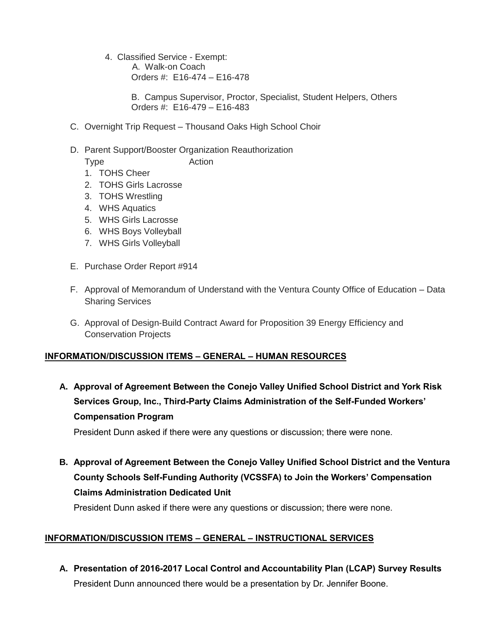4. Classified Service - Exempt: A. Walk-on Coach Orders #: E16-474 – E16-478

> B. Campus Supervisor, Proctor, Specialist, Student Helpers, Others Orders #: E16-479 – E16-483

- C. Overnight Trip Request Thousand Oaks High School Choir
- D. Parent Support/Booster Organization Reauthorization

Type Action

- 1. TOHS Cheer
- 2. TOHS Girls Lacrosse
- 3. TOHS Wrestling
- 4. WHS Aquatics
- 5. WHS Girls Lacrosse
- 6. WHS Boys Volleyball
- 7. WHS Girls Volleyball
- E. Purchase Order Report #914
- F. Approval of Memorandum of Understand with the Ventura County Office of Education Data Sharing Services
- G. Approval of Design-Build Contract Award for Proposition 39 Energy Efficiency and Conservation Projects

# **INFORMATION/DISCUSSION ITEMS – GENERAL – HUMAN RESOURCES**

**A. Approval of Agreement Between the Conejo Valley Unified School District and York Risk Services Group, Inc., Third-Party Claims Administration of the Self-Funded Workers' Compensation Program**

President Dunn asked if there were any questions or discussion; there were none.

**B. Approval of Agreement Between the Conejo Valley Unified School District and the Ventura County Schools Self-Funding Authority (VCSSFA) to Join the Workers' Compensation Claims Administration Dedicated Unit**

President Dunn asked if there were any questions or discussion; there were none.

# **INFORMATION/DISCUSSION ITEMS – GENERAL – INSTRUCTIONAL SERVICES**

**A. Presentation of 2016-2017 Local Control and Accountability Plan (LCAP) Survey Results** President Dunn announced there would be a presentation by Dr. Jennifer Boone.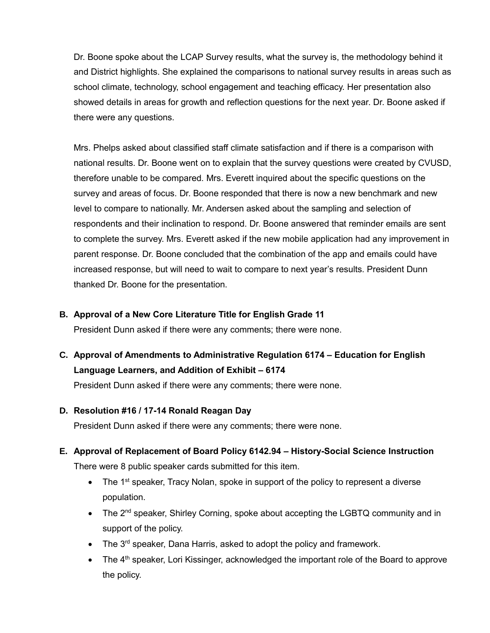Dr. Boone spoke about the LCAP Survey results, what the survey is, the methodology behind it and District highlights. She explained the comparisons to national survey results in areas such as school climate, technology, school engagement and teaching efficacy. Her presentation also showed details in areas for growth and reflection questions for the next year. Dr. Boone asked if there were any questions.

Mrs. Phelps asked about classified staff climate satisfaction and if there is a comparison with national results. Dr. Boone went on to explain that the survey questions were created by CVUSD, therefore unable to be compared. Mrs. Everett inquired about the specific questions on the survey and areas of focus. Dr. Boone responded that there is now a new benchmark and new level to compare to nationally. Mr. Andersen asked about the sampling and selection of respondents and their inclination to respond. Dr. Boone answered that reminder emails are sent to complete the survey. Mrs. Everett asked if the new mobile application had any improvement in parent response. Dr. Boone concluded that the combination of the app and emails could have increased response, but will need to wait to compare to next year's results. President Dunn thanked Dr. Boone for the presentation.

#### **B. Approval of a New Core Literature Title for English Grade 11**

President Dunn asked if there were any comments; there were none.

**C. Approval of Amendments to Administrative Regulation 6174 – Education for English Language Learners, and Addition of Exhibit – 6174**

President Dunn asked if there were any comments; there were none.

# **D. Resolution #16 / 17-14 Ronald Reagan Day**

President Dunn asked if there were any comments; there were none.

**E. Approval of Replacement of Board Policy 6142.94 – History-Social Science Instruction**

There were 8 public speaker cards submitted for this item.

- $\bullet$  The 1<sup>st</sup> speaker, Tracy Nolan, spoke in support of the policy to represent a diverse population.
- The  $2^{nd}$  speaker, Shirley Corning, spoke about accepting the LGBTQ community and in support of the policy.
- $\bullet$  The 3<sup>rd</sup> speaker, Dana Harris, asked to adopt the policy and framework.
- The  $4<sup>th</sup>$  speaker, Lori Kissinger, acknowledged the important role of the Board to approve the policy.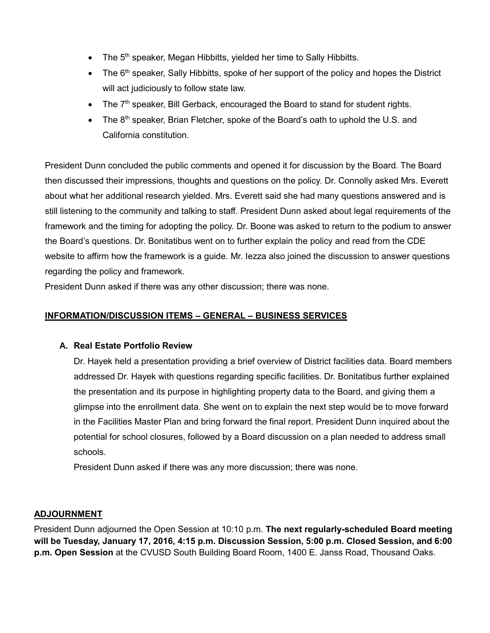- The 5<sup>th</sup> speaker, Megan Hibbitts, yielded her time to Sally Hibbitts.
- $\bullet$  The 6<sup>th</sup> speaker, Sally Hibbitts, spoke of her support of the policy and hopes the District will act judiciously to follow state law.
- $\bullet$  The 7<sup>th</sup> speaker, Bill Gerback, encouraged the Board to stand for student rights.
- The 8<sup>th</sup> speaker, Brian Fletcher, spoke of the Board's oath to uphold the U.S. and California constitution.

President Dunn concluded the public comments and opened it for discussion by the Board. The Board then discussed their impressions, thoughts and questions on the policy. Dr. Connolly asked Mrs. Everett about what her additional research yielded. Mrs. Everett said she had many questions answered and is still listening to the community and talking to staff. President Dunn asked about legal requirements of the framework and the timing for adopting the policy. Dr. Boone was asked to return to the podium to answer the Board's questions. Dr. Bonitatibus went on to further explain the policy and read from the CDE website to affirm how the framework is a guide. Mr. Iezza also joined the discussion to answer questions regarding the policy and framework.

President Dunn asked if there was any other discussion; there was none.

#### **INFORMATION/DISCUSSION ITEMS – GENERAL – BUSINESS SERVICES**

#### **A. Real Estate Portfolio Review**

Dr. Hayek held a presentation providing a brief overview of District facilities data. Board members addressed Dr. Hayek with questions regarding specific facilities. Dr. Bonitatibus further explained the presentation and its purpose in highlighting property data to the Board, and giving them a glimpse into the enrollment data. She went on to explain the next step would be to move forward in the Facilities Master Plan and bring forward the final report. President Dunn inquired about the potential for school closures, followed by a Board discussion on a plan needed to address small schools.

President Dunn asked if there was any more discussion; there was none.

#### **ADJOURNMENT**

President Dunn adjourned the Open Session at 10:10 p.m. **The next regularly-scheduled Board meeting will be Tuesday, January 17, 2016, 4:15 p.m. Discussion Session, 5:00 p.m. Closed Session, and 6:00 p.m. Open Session** at the CVUSD South Building Board Room, 1400 E. Janss Road, Thousand Oaks.